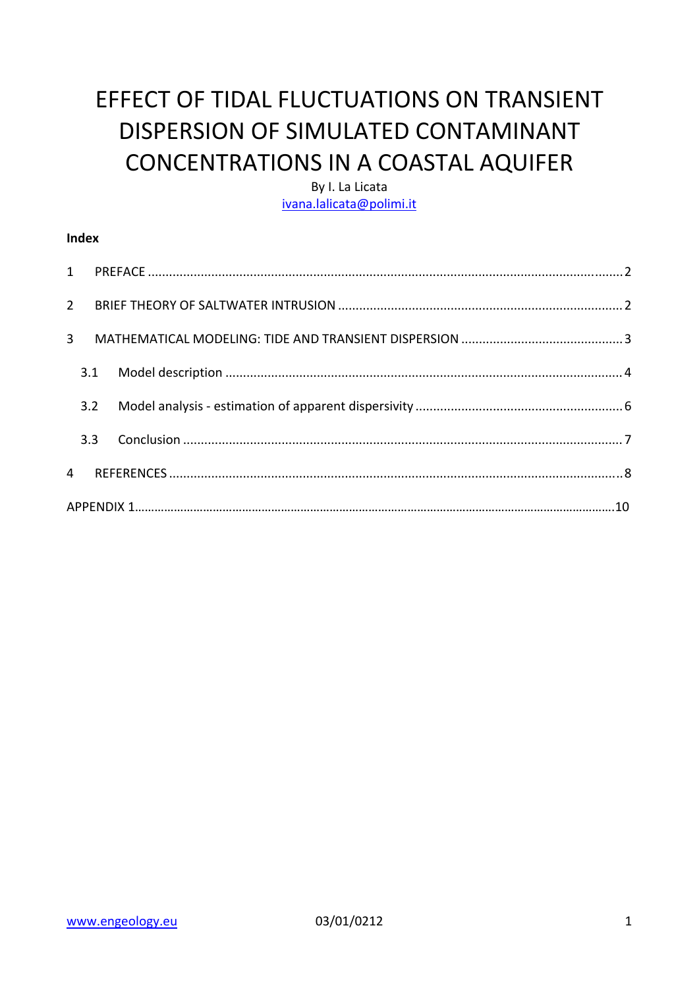# EFFECT OF TIDAL FLUCTUATIONS ON TRANSIENT DISPERSION OF SIMULATED CONTAMINANT CONCENTRATIONS IN A COASTAL AQUIFER

By I. La Licata [ivana.lalicata@polimi.it](mailto:ivana.lalicata@polimi.it)

### **Index**

| 3.1 |  |  |  |  |  |  |
|-----|--|--|--|--|--|--|
| 3.2 |  |  |  |  |  |  |
| 3.3 |  |  |  |  |  |  |
|     |  |  |  |  |  |  |
|     |  |  |  |  |  |  |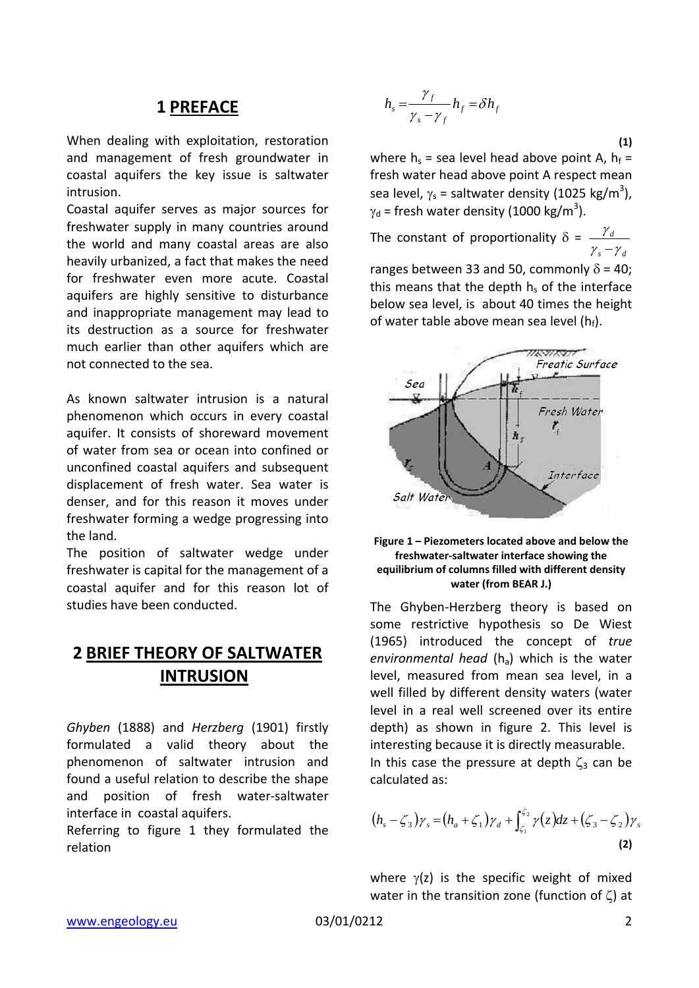### **1 PREFACE**

<span id="page-1-0"></span>When dealing with exploitation, restoration and management of fresh groundwater in coastal aquifers the key issue is saltwater intrusion.

Coastal aquifer serves as major sources for freshwater supply in many countries around the world and many coastal areas are also heavily urbanized, a fact that makes the need for freshwater even more acute. Coastal aquifers are highly sensitive to disturbance and inappropriate management may lead to its destruction as a source for freshwater much earlier than other aquifers which are not connected to the sea.

As known saltwater intrusion is a natural phenomenon which occurs in every coastal aquifer. It consists of shoreward movement of water from sea or ocean into confined or unconfined coastal aquifers and subsequent displacement of fresh water. Sea water is denser, and for this reason it moves under freshwater forming a wedge progressing into the land.

The position of saltwater wedge under freshwater is capital for the management of a coastal aquifer and for this reason lot of studies have been conducted.

## **2 BRIEF THEORY OF SALTWATER INTRUSION**

*Ghyben* (1888) and *Herzberg* (1901) firstly formulated a valid theory about the phenomenon of saltwater intrusion and found a useful relation to describe the shape and position of fresh water‐saltwater interface in coastal aquifers.

Referring to figure 1 they formulated the relation

$$
h_s = \frac{\gamma_f}{\gamma_s - \gamma_f} h_f = \delta h_f
$$

**(1)**

where  $h_s$  = sea level head above point A,  $h_f$  = fresh water head above point A respect mean sea level,  $\gamma_s$  = saltwater density (1025 kg/m<sup>3</sup>),  $\gamma_\mathsf{d}$  = fresh water density (1000 kg/m $^3$ ).

The constant of proportionality  $\delta = \frac{\gamma_d}{\gamma_d}$ *ds*  $\gamma_{s}-\gamma$ −

ranges between 33 and 50, commonly  $\delta$  = 40; this means that the depth  $h_s$  of the interface below sea level, is about 40 times the height of water table above mean sea level ( $h_f$ ).



### **Figure 1 – Piezometers located above and below the freshwater‐saltwater interface showing the equilibrium of columns filled with different density water (from BEAR J.)**

The Ghyben‐Herzberg theory is based on some restrictive hypothesis so De Wiest (1965) introduced the concept of *true environmental head* (ha) which is the water level, measured from mean sea level, in a well filled by different density waters (water level in a real well screened over its entire depth) as shown in figure 2. This level is interesting because it is directly measurable. In this case the pressure at depth  $\zeta_3$  can be calculated as:

$$
(h_s - \zeta_3)\gamma_s = (h_a + \zeta_1)\gamma_d + \int_{\zeta_1}^{\zeta_2} \gamma(z)dz + (\zeta_3 - \zeta_2)\gamma_s
$$
\n(2)

where  $\gamma(z)$  is the specific weight of mixed water in the transition zone (function of ζ) at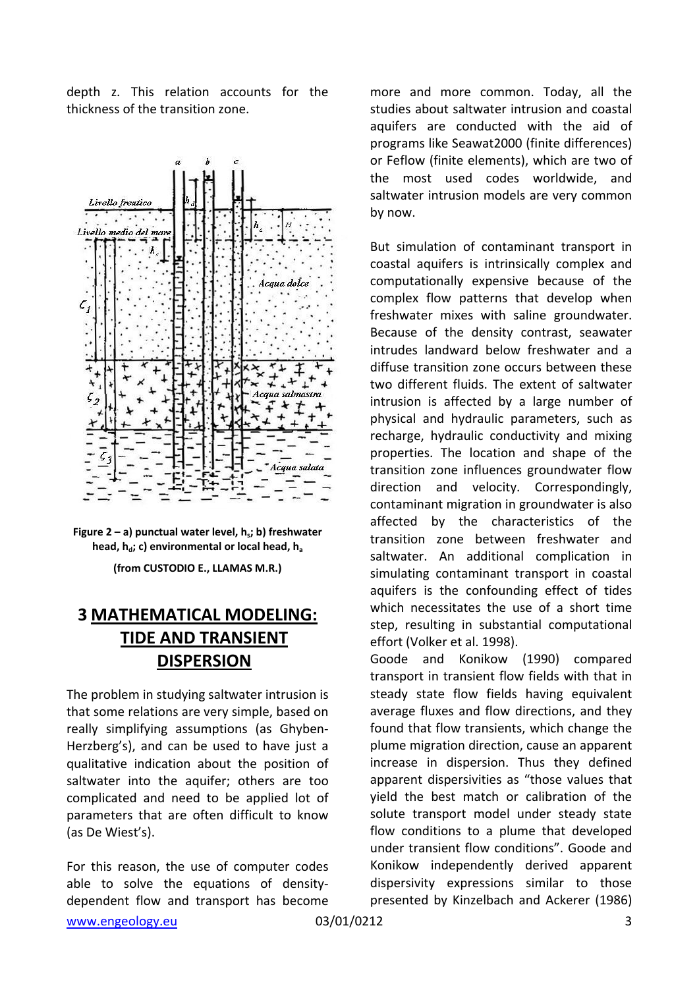<span id="page-2-0"></span>depth z. This relation accounts for the thickness of the transition zone.



**Figure** 2 – **a)** punctual water level, h<sub>s</sub>; b) freshwater **head, h<sub>d</sub>; c) environmental or local head, h<sub>a</sub> (from CUSTODIO E., LLAMAS M.R.)**

## **3 MATHEMATICAL MODELING: TIDE AND TRANSIENT DISPERSION**

The problem in studying saltwater intrusion is that some relations are very simple, based on really simplifying assumptions (as Ghyben‐ Herzberg's), and can be used to have just a qualitative indication about the position of saltwater into the aquifer; others are too complicated and need to be applied lot of parameters that are often difficult to know (as De Wiest's).

For this reason, the use of computer codes able to solve the equations of density‐ dependent flow and transport has become more and more common. Today, all the studies about saltwater intrusion and coastal aquifers are conducted with the aid of programs like Seawat2000 (finite differences) or Feflow (finite elements), which are two of the most used codes worldwide, and saltwater intrusion models are very common by now.

But simulation of contaminant transport in coastal aquifers is intrinsically complex and computationally expensive because of the complex flow patterns that develop when freshwater mixes with saline groundwater. Because of the density contrast, seawater intrudes landward below freshwater and a diffuse transition zone occurs between these two different fluids. The extent of saltwater intrusion is affected by a large number of physical and hydraulic parameters, such as recharge, hydraulic conductivity and mixing properties. The location and shape of the transition zone influences groundwater flow direction and velocity. Correspondingly, contaminant migration in groundwater is also affected by the characteristics of the transition zone between freshwater and saltwater. An additional complication in simulating contaminant transport in coastal aquifers is the confounding effect of tides which necessitates the use of a short time step, resulting in substantial computational effort (Volker et al. 1998).

Goode and Konikow (1990) compared transport in transient flow fields with that in steady state flow fields having equivalent average fluxes and flow directions, and they found that flow transients, which change the plume migration direction, cause an apparent increase in dispersion. Thus they defined apparent dispersivities as "those values that yield the best match or calibration of the solute transport model under steady state flow conditions to a plume that developed under transient flow conditions". Goode and Konikow independently derived apparent dispersivity expressions similar to those presented by Kinzelbach and Ackerer (1986)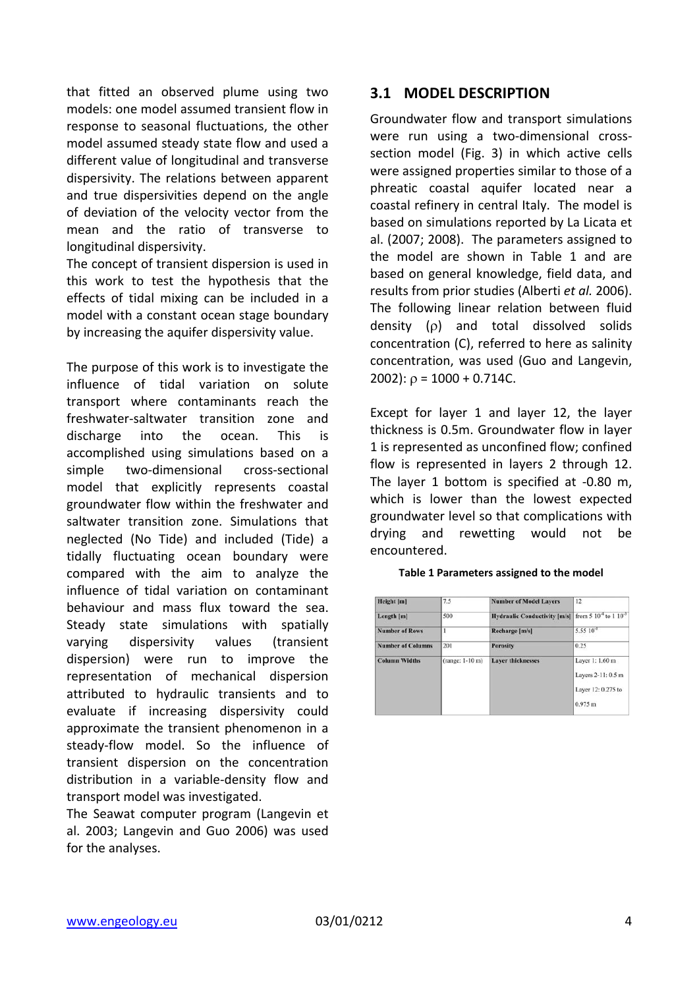<span id="page-3-0"></span>that fitted an observed plume using two **3.1 MODEL DESCRIPTION** models: one model assumed transient flow in response to seasonal fluctuations, the other model assumed steady state flow and used a different value of longitudinal and transverse dispersivity. The relations between apparent and true dispersivities depend on the angle of deviation of the velocity vector from the mean and the ratio of transverse to longitudinal dispersivity.

The concept of transient dispersion is used in this work to test the hypothesis that the effects of tidal mixing can be included in a model with a constant ocean stage boundary by increasing the aquifer dispersivity value.

The purpose of this work is to investigate the influence of tidal variation on solute transport where contaminants reach the freshwater‐saltwater transition zone and discharge into the ocean. This is accomplished using simulations based on a simple two-dimensional cross-sectional model that explicitly represents coastal groundwater flow within the freshwater and saltwater transition zone. Simulations that neglected (No Tide) and included (Tide) a tidally fluctuating ocean boundary were compared with the aim to analyze the influence of tidal variation on contaminant behaviour and mass flux toward the sea. Steady state simulations with spatially varying dispersivity values (transient dispersion) were run to improve the representation of mechanical dispersion attributed to hydraulic transients and to evaluate if increasing dispersivity could approximate the transient phenomenon in a steady‐flow model. So the influence of transient dispersion on the concentration distribution in a variable‐density flow and transport model was investigated.

The Seawat computer program (Langevin et al. 2003; Langevin and Guo 2006) was used for the analyses.

Groundwater flow and transport simulations were run using a two-dimensional crosssection model (Fig. 3) in which active cells were assigned properties similar to those of a phreatic coastal aquifer located near a coastal refinery in central Italy. The model is based on simulations reported by La Licata et al. (2007; 2008). The parameters assigned to the model are shown in Table 1 and are based on general knowledge, field data, and results from prior studies (Alberti *et al.* 2006). The following linear relation between fluid density (ρ) and total dissolved solids concentration (C), referred to here as salinity concentration, was used (Guo and Langevin, 2002):  $\rho = 1000 + 0.714C$ .

Except for layer 1 and layer 12, the layer thickness is 0.5m. Groundwater flow in layer 1 is represented as unconfined flow; confined flow is represented in layers 2 through 12. The layer 1 bottom is specified at -0.80 m, which is lower than the lowest expected groundwater level so that complications with drying and rewetting would not be encountered.

**Table 1 Parameters assigned to the model**

| 7.5               | <b>Number of Model Lavers</b> | 12                                                                  |
|-------------------|-------------------------------|---------------------------------------------------------------------|
| 500               |                               |                                                                     |
|                   | Recharge [m/s]                | $5.5510^{8}$                                                        |
| 201               | <b>Porosity</b>               | 0.25                                                                |
| $(range: 1-10 m)$ | <b>Laver thicknesses</b>      | Layer 1: 1.60 m                                                     |
|                   |                               | Layers 2-11: 0.5 m                                                  |
|                   |                               | Layer 12: 0.275 to                                                  |
|                   |                               | $0.975$ m                                                           |
|                   |                               | <b>Hydraulic Conductivity [m/s]</b> from 5 $10^{-4}$ to 1 $10^{-3}$ |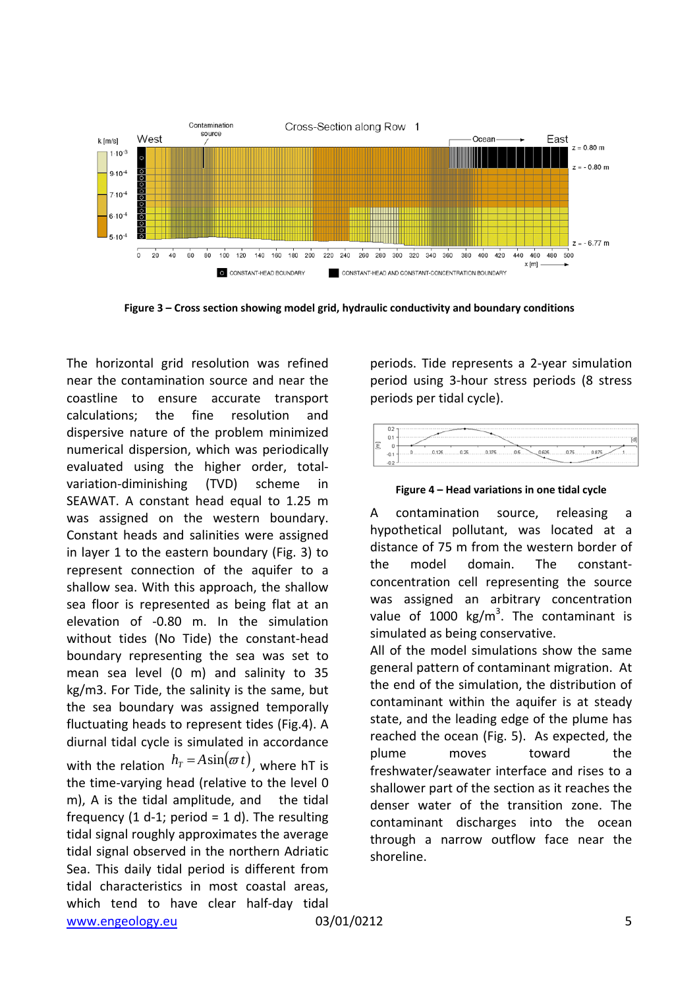

**Figure 3 – Cross section showing model grid, hydraulic conductivity and boundary conditions**

www.engeology.eu 03/01/0212 5 with the relation  $\left. h_{\scriptscriptstyle T} \! = \! A \sin(\varpi \, t) \right\rangle$  where hT is The horizontal grid resolution was refined near the contamination source and near the coastline to ensure accurate transport calculations; the fine resolution and dispersive nature of the problem minimized numerical dispersion, which was periodically evaluated using the higher order, total‐ variation‐diminishing (TVD) scheme in SEAWAT. A constant head equal to 1.25 m was assigned on the western boundary. Constant heads and salinities were assigned in layer 1 to the eastern boundary (Fig. 3) to represent connection of the aquifer to a shallow sea. With this approach, the shallow sea floor is represented as being flat at an elevation of ‐0.80 m. In the simulation without tides (No Tide) the constant‐head boundary representing the sea was set to mean sea level (0 m) and salinity to 35 kg/m3. For Tide, the salinity is the same, but the sea boundary was assigned temporally fluctuating heads to represent tides (Fig.4). A diurnal tidal cycle is simulated in accordance the time‐varying head (relative to the level 0 m), A is the tidal amplitude, and the tidal frequency (1 d-1; period = 1 d). The resulting tidal signal roughly approximates the average tidal signal observed in the northern Adriatic Sea. This daily tidal period is different from tidal characteristics in most coastal areas, which tend to have clear half‐day tidal

periods. Tide represents a 2‐year simulation period using 3‐hour stress periods (8 stress periods per tidal cycle).



### **Figure 4 – Head variations in one tidal cycle**

A contamination source, releasing a hypothetical pollutant, was located at a distance of 75 m from the western border of the model domain. The constant‐ concentration cell representing the source was assigned an arbitrary concentration value of 1000  $\text{kg/m}^3$ . The contaminant is simulated as being conservative.

All of the model simulations show the same general pattern of contaminant migration. At the end of the simulation, the distribution of contaminant within the aquifer is at steady state, and the leading edge of the plume has reached the ocean (Fig. 5). As expected, the plume moves toward the freshwater/seawater interface and rises to a shallower part of the section as it reaches the denser water of the transition zone. The contaminant discharges into the ocean through a narrow outflow face near the shoreline.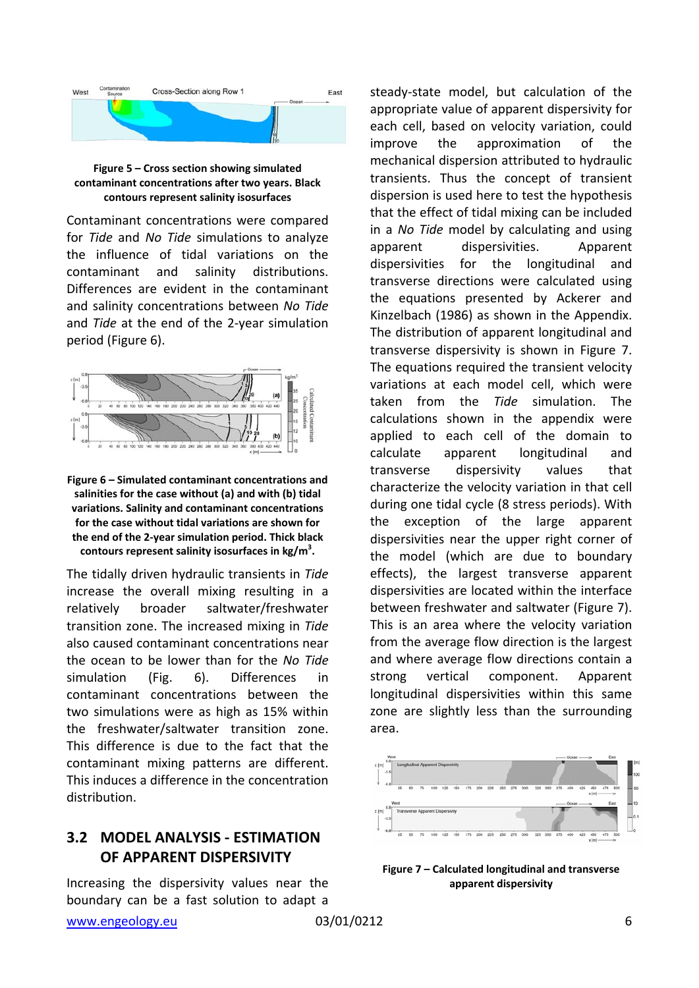<span id="page-5-0"></span>



Contaminant concentrations were compared for *Tide* and *No Tide* simulations to analyze the influence of tidal variations on the contaminant and salinity distributions. Differences are evident in the contaminant and salinity concentrations between *No Tide* and *Tide* at the end of the 2‐year simulation period (Figure 6).



**Figure 6 – Simulated contaminant concentrations and salinities for the case without (a) and with (b) tidal variations. Salinity and contaminant concentrations for the case without tidal variations are shown for the end of the 2‐year simulation period. Thick black contours represent salinity isosurfaces in kg/m3 .**

The tidally driven hydraulic transients in *Tide* increase the overall mixing resulting in a relatively broader saltwater/freshwater transition zone. The increased mixing in *Tide* also caused contaminant concentrations near the ocean to be lower than for the *No Tide* simulation (Fig. 6). Differences in contaminant concentrations between the two simulations were as high as 15% within the freshwater/saltwater transition zone. This difference is due to the fact that the contaminant mixing patterns are different. This induces a difference in the concentration distribution.

## **3.2 MODEL ANALYSIS ‐ ESTIMATION OF APPARENT DISPERSIVITY**

Increasing the dispersivity values near the boundary can be a fast solution to adapt a

www.engeology.eu 03/01/0212 6

steady‐state model, but calculation of the appropriate value of apparent dispersivity for each cell, based on velocity variation, could improve the approximation of the mechanical dispersion attributed to hydraulic transients. Thus the concept of transient dispersion is used here to test the hypothesis that the effect of tidal mixing can be included in a *No Tide* model by calculating and using apparent dispersivities. Apparent dispersivities for the longitudinal and transverse directions were calculated using the equations presented by Ackerer and Kinzelbach (1986) as shown in the Appendix. The distribution of apparent longitudinal and transverse dispersivity is shown in Figure 7. The equations required the transient velocity variations at each model cell, which were taken from the *Tide* simulation. The calculations shown in the appendix were applied to each cell of the domain to calculate apparent longitudinal and transverse dispersivity values that characterize the velocity variation in that cell during one tidal cycle (8 stress periods). With the exception of the large apparent dispersivities near the upper right corner of the model (which are due to boundary effects), the largest transverse apparent dispersivities are located within the interface between freshwater and saltwater (Figure 7). This is an area where the velocity variation from the average flow direction is the largest and where average flow directions contain a strong vertical component. Apparent longitudinal dispersivities within this same zone are slightly less than the surrounding area.



**Figure 7 – Calculated longitudinal and transverse apparent dispersivity**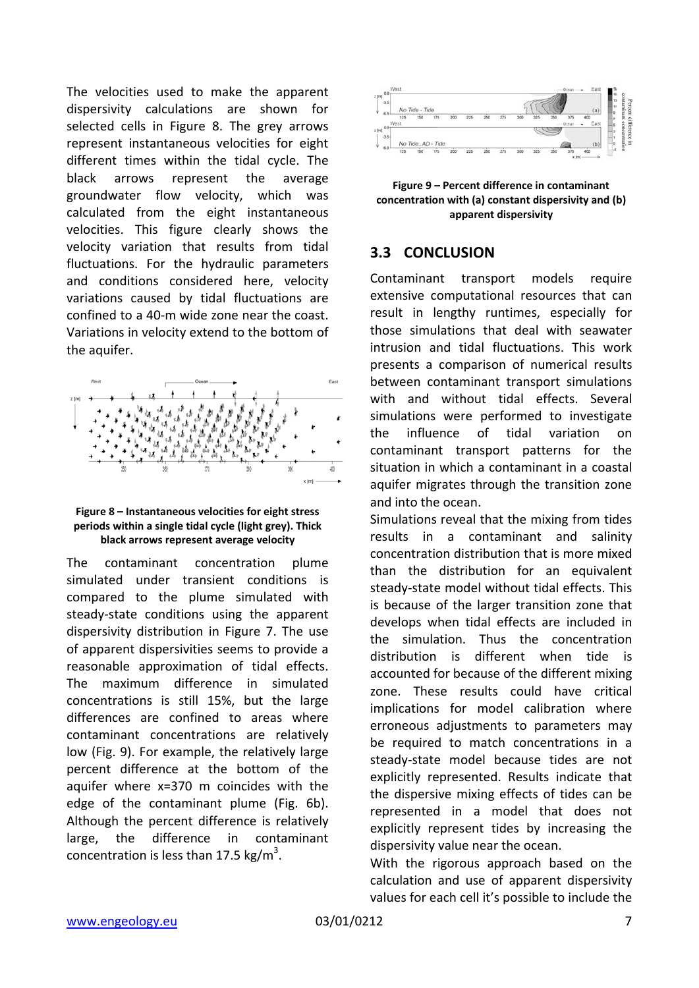<span id="page-6-0"></span>The velocities used to make the apparent dispersivity calculations are shown for selected cells in Figure 8. The grey arrows represent instantaneous velocities for eight different times within the tidal cycle. The black arrows represent the average groundwater flow velocity, which was calculated from the eight instantaneous velocities. This figure clearly shows the velocity variation that results from tidal fluctuations. For the hydraulic parameters and conditions considered here, velocity variations caused by tidal fluctuations are confined to a 40‐m wide zone near the coast. Variations in velocity extend to the bottom of the aquifer.





The contaminant concentration plume simulated under transient conditions is compared to the plume simulated with steady‐state conditions using the apparent dispersivity distribution in Figure 7. The use of apparent dispersivities seems to provide a reasonable approximation of tidal effects. The maximum difference in simulated concentrations is still 15%, but the large differences are confined to areas where contaminant concentrations are relatively low (Fig. 9). For example, the relatively large percent difference at the bottom of the aquifer where x=370 m coincides with the edge of the contaminant plume (Fig. 6b). Although the percent difference is relatively large, the difference in contaminant concentration is less than 17.5 kg/m<sup>3</sup>.





### **3.3 CONCLUSION**

Contaminant transport models require extensive computational resources that can result in lengthy runtimes, especially for those simulations that deal with seawater intrusion and tidal fluctuations. This work presents a comparison of numerical results between contaminant transport simulations with and without tidal effects. Several simulations were performed to investigate the influence of tidal variation on contaminant transport patterns for the situation in which a contaminant in a coastal aquifer migrates through the transition zone and into the ocean.

Simulations reveal that the mixing from tides results in a contaminant and salinity concentration distribution that is more mixed than the distribution for an equivalent steady‐state model without tidal effects. This is because of the larger transition zone that develops when tidal effects are included in the simulation. Thus the concentration distribution is different when tide is accounted for because of the different mixing zone. These results could have critical implications for model calibration where erroneous adjustments to parameters may be required to match concentrations in a steady‐state model because tides are not explicitly represented. Results indicate that the dispersive mixing effects of tides can be represented in a model that does not explicitly represent tides by increasing the dispersivity value near the ocean.

With the rigorous approach based on the calculation and use of apparent dispersivity values for each cell it's possible to include the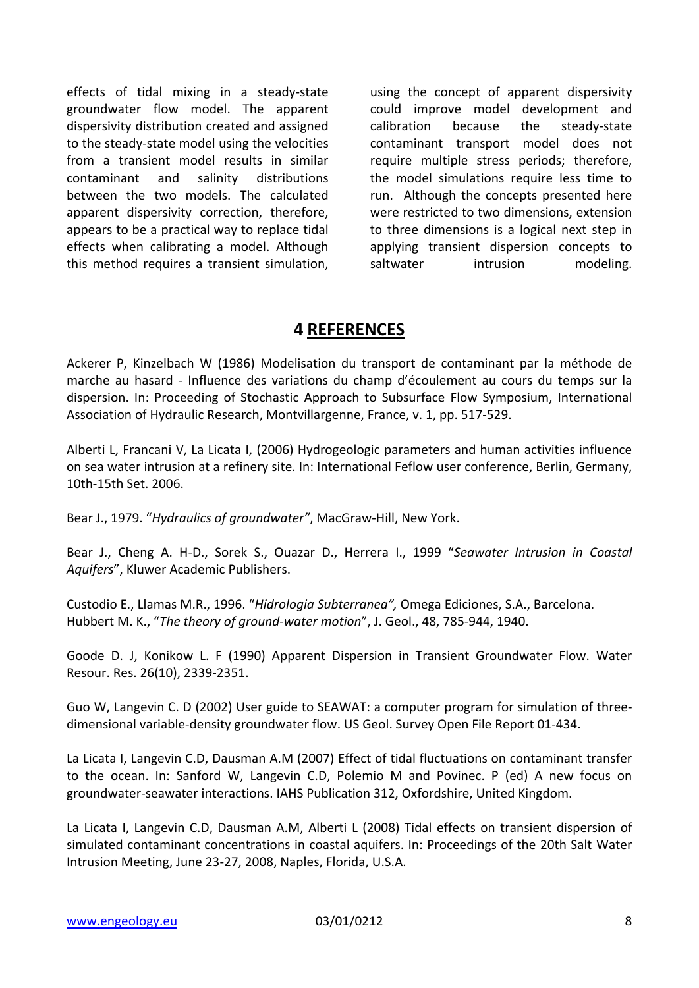<span id="page-7-0"></span>effects of tidal mixing in a steady‐state groundwater flow model. The apparent dispersivity distribution created and assigned to the steady‐state model using the velocities from a transient model results in similar contaminant and salinity distributions between the two models. The calculated apparent dispersivity correction, therefore, appears to be a practical way to replace tidal effects when calibrating a model. Although this method requires a transient simulation,

using the concept of apparent dispersivity could improve model development and calibration because the steady‐state contaminant transport model does not require multiple stress periods; therefore, the model simulations require less time to run. Although the concepts presented here were restricted to two dimensions, extension to three dimensions is a logical next step in applying transient dispersion concepts to saltwater intrusion modeling.

## **4 REFERENCES**

Ackerer P, Kinzelbach W (1986) Modelisation du transport de contaminant par la méthode de marche au hasard ‐ Influence des variations du champ d'écoulement au cours du temps sur la dispersion. In: Proceeding of Stochastic Approach to Subsurface Flow Symposium, International Association of Hydraulic Research, Montvillargenne, France, v. 1, pp. 517‐529.

Alberti L, Francani V, La Licata I, (2006) Hydrogeologic parameters and human activities influence on sea water intrusion at a refinery site. In: International Feflow user conference, Berlin, Germany, 10th‐15th Set. 2006.

Bear J., 1979. "*Hydraulics of groundwater"*, MacGraw‐Hill, New York.

Bear J., Cheng A. H‐D., Sorek S., Ouazar D., Herrera I., 1999 "*Seawater Intrusion in Coastal Aquifers*", Kluwer Academic Publishers.

Custodio E., Llamas M.R., 1996. "*Hidrologia Subterranea",* Omega Ediciones, S.A., Barcelona. Hubbert M. K., "*The theory of ground‐water motion*", J. Geol., 48, 785‐944, 1940.

Goode D. J, Konikow L. F (1990) Apparent Dispersion in Transient Groundwater Flow. Water Resour. Res. 26(10), 2339‐2351.

Guo W, Langevin C. D (2002) User guide to SEAWAT: a computer program for simulation of three‐ dimensional variable‐density groundwater flow. US Geol. Survey Open File Report 01‐434.

La Licata I, Langevin C.D, Dausman A.M (2007) Effect of tidal fluctuations on contaminant transfer to the ocean. In: Sanford W, Langevin C.D, Polemio M and Povinec. P (ed) A new focus on groundwater‐seawater interactions. IAHS Publication 312, Oxfordshire, United Kingdom.

La Licata I, Langevin C.D, Dausman A.M, Alberti L (2008) Tidal effects on transient dispersion of simulated contaminant concentrations in coastal aquifers. In: Proceedings of the 20th Salt Water Intrusion Meeting, June 23‐27, 2008, Naples, Florida, U.S.A.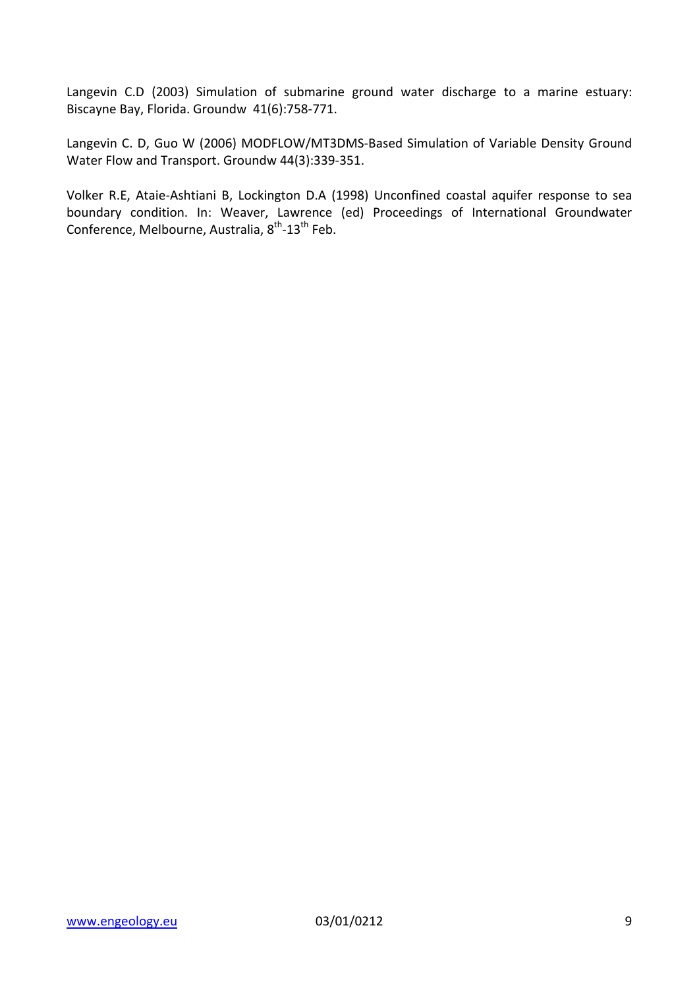Langevin C.D (2003) [Simulation](http://www.ngwa.org/publication/gw/03absnovdec.shtml#4) of submarine ground water discharge to a marine estuary: [Biscayne](http://www.ngwa.org/publication/gw/03absnovdec.shtml#4) Bay, Florida. Groundw 41(6):758‐771.

Langevin C. D, Guo W (2006) MODFLOW/MT3DMS‐Based Simulation of Variable Density Ground Water Flow and Transport. Groundw 44(3):339‐351.

Volker R.E, Ataie‐Ashtiani B, Lockington D.A (1998) Unconfined coastal aquifer response to sea boundary condition. In: Weaver, Lawrence (ed) Proceedings of International Groundwater Conference, Melbourne, Australia,  $8^{th}$ -13<sup>th</sup> Feb.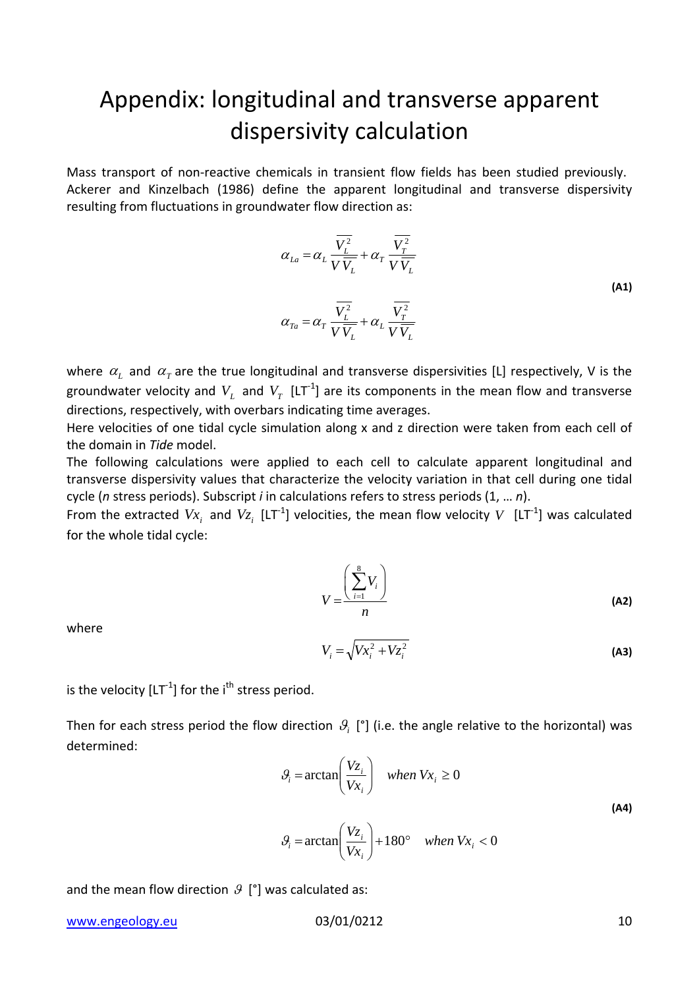# Appendix: longitudinal and transverse apparent dispersivity calculation

Mass transport of non‐reactive chemicals in transient flow fields has been studied previously. Ackerer and [Kinzelbach](http://www.sciencedirect.com/science?_ob=ArticleURL&_udi=B6V94-46SNF3K-1&_user=2620285&_rdoc=1&_fmt=&_orig=search&_sort=d&view=c&_version=1&_urlVersion=0&_userid=2620285&md5=b4dba50a78560199fedaa1ce315e72bc#bib17#bib17) (1986) define the apparent longitudinal and transverse dispersivity resulting from fluctuations in groundwater flow direction as:

$$
\alpha_{La} = \alpha_L \frac{\overline{V_L^2}}{V \overline{V_L}} + \alpha_T \frac{\overline{V_T^2}}{V \overline{V_L}}
$$
\n
$$
\alpha_{Ta} = \alpha_T \frac{\overline{V_L^2}}{V \overline{V_L}} + \alpha_L \frac{\overline{V_T^2}}{V \overline{V_L}}
$$
\n(A1)

where  $\alpha_L$  and  $\alpha_T$  are the true longitudinal and transverse dispersivities [L] respectively, V is the groundwater velocity and  $V_L$  and  $V_T$  [LT<sup>-1</sup>] are its components in the mean flow and transverse directions, respectively, with overbars indicating time averages.

Here velocities of one tidal cycle simulation along x and z direction were taken from each cell of the domain in *Tide* model.

The following calculations were applied to each cell to calculate apparent longitudinal and transverse dispersivity values that characterize the velocity variation in that cell during one tidal cycle (*n* stress periods). Subscript *i* in calculations refers to stress periods (1, … *n*).

From the extracted  $Vx_i$  and  $Vz_i$  [LT<sup>-1</sup>] velocities, the mean flow velocity  $V$  [LT<sup>-1</sup>] was calculated for the whole tidal cycle:

$$
V = \frac{\left(\sum_{i=1}^{8} V_i\right)}{n}
$$
 (A2)

where

$$
V_i = \sqrt{Vx_i^2 + Vz_i^2}
$$
 (A3)

is the velocity [LT $^{-1}$ ] for the i $^{\rm th}$  stress period.

Then for each stress period the flow direction  $\mathcal{G}_i$  [°] (i.e. the angle relative to the horizontal) was determined:

$$
\mathcal{G}_i = \arctan\left(\frac{Vz_i}{Vx_i}\right) \quad when \quad Vx_i \ge 0
$$
\n
$$
\mathcal{G}_i = \arctan\left(\frac{Vz_i}{Vx_i}\right) + 180^\circ \quad when \quad Vx_i < 0
$$
\n(A4)

and the mean flow direction  $\mathcal{G}$  [°] was calculated as:

www.engeology.eu 03/01/0212 10